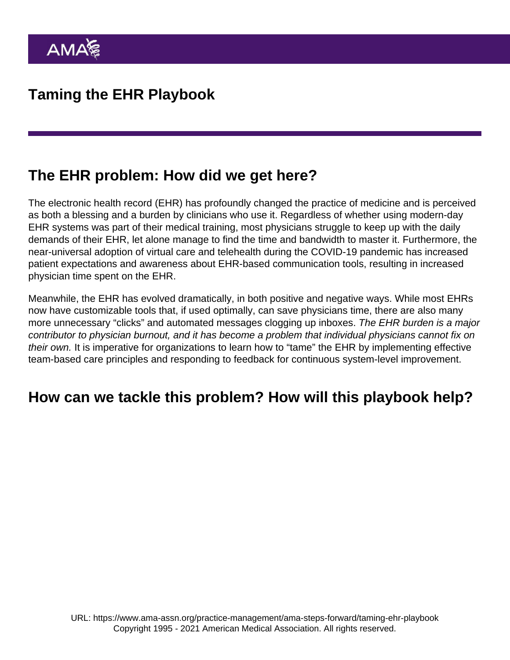## The EHR problem: How did we get here?

The electronic health record (EHR) has profoundly changed the practice of medicine and is perceived as both a blessing and a burden by clinicians who use it. Regardless of whether using modern-day EHR systems was part of their medical training, most physicians struggle to keep up with the daily demands of their EHR, let alone manage to find the time and bandwidth to master it. Furthermore, the near-universal adoption of virtual care and telehealth during the COVID-19 pandemic has increased patient expectations and awareness about EHR-based communication tools, resulting in increased physician time spent on the EHR.

Meanwhile, the EHR has evolved dramatically, in both positive and negative ways. While most EHRs now have customizable tools that, if used optimally, can save physicians time, there are also many more unnecessary "clicks" and automated messages clogging up inboxes. The EHR burden is a major contributor to physician burnout, and it has become a problem that individual physicians cannot fix on their own. It is imperative for organizations to learn how to "tame" the EHR by implementing effective team-based care principles and responding to feedback for continuous system-level improvement.

## How can we tackle this problem? How will this playbook help?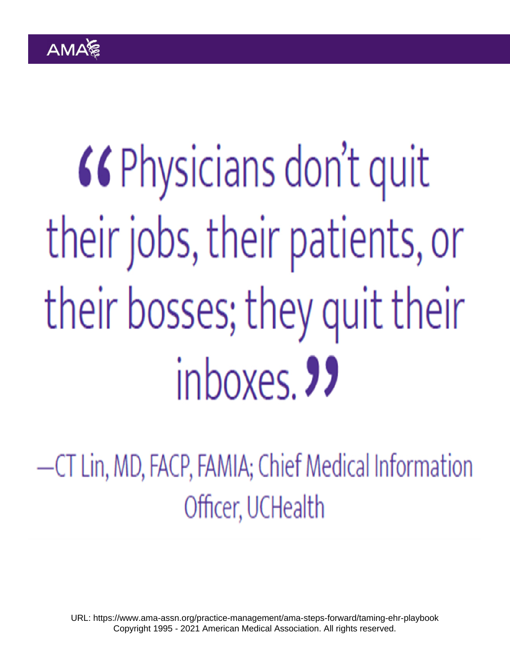URL: <https://www.ama-assn.org/practice-management/ama-steps-forward/taming-ehr-playbook> Copyright 1995 - 2021 American Medical Association. All rights reserved.